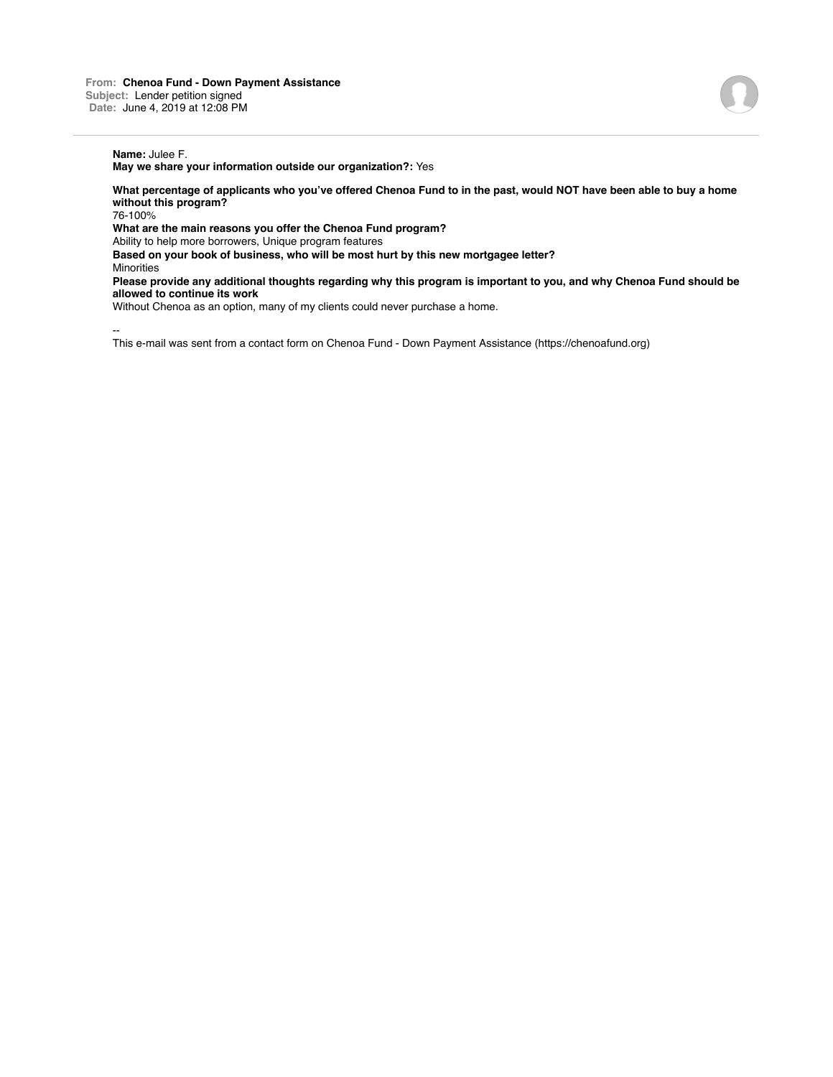**May we share your information outside our organization?:** Yes

**What percentage of applicants who you've offered Chenoa Fund to in the past, would NOT have been able to buy a home without this program?**

76-100%

**What are the main reasons you offer the Chenoa Fund program?** Ability to help more borrowers, Unique program features **Based on your book of business, who will be most hurt by this new mortgagee letter? Minorities** 

**Please provide any additional thoughts regarding why this program is important to you, and why Chenoa Fund should be allowed to continue its work**

Without Chenoa as an option, many of my clients could never purchase a home.

--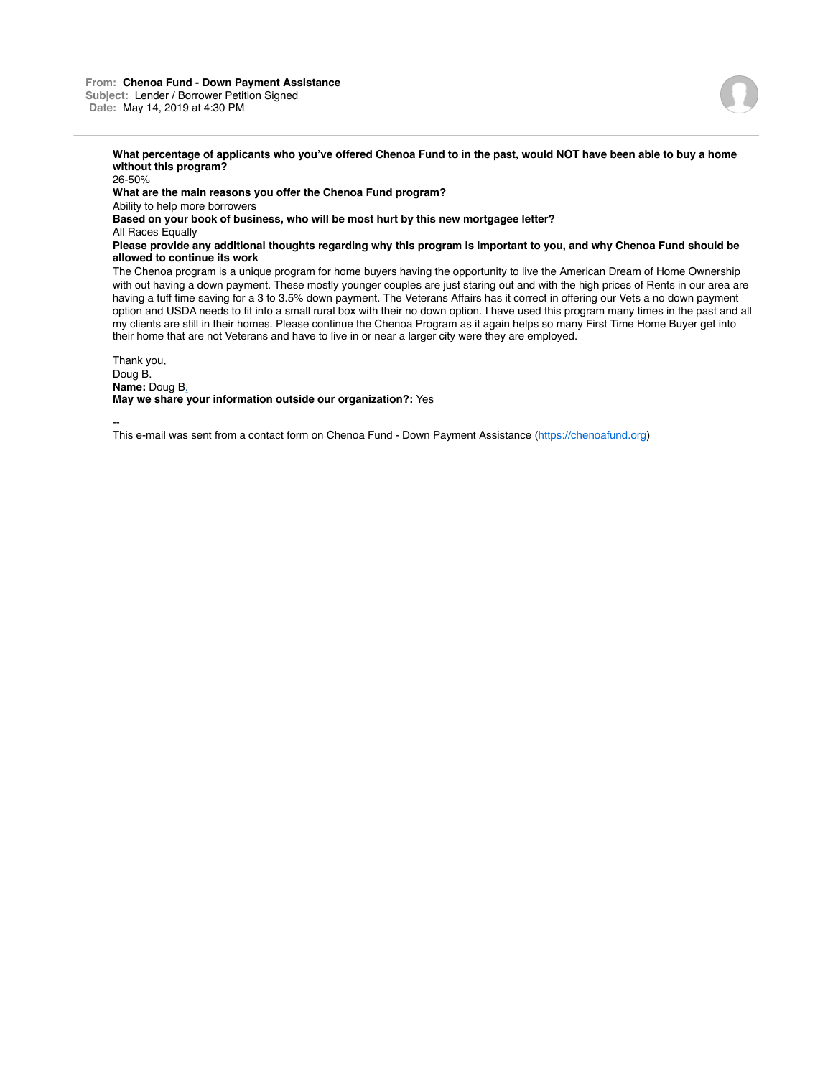# **What percentage of applicants who you've offered Chenoa Fund to in the past, would NOT have been able to buy a home without this program?**

26-50% **What are the main reasons you offer the Chenoa Fund program?** Ability to help more borrowers **Based on your book of business, who will be most hurt by this new mortgagee letter?** All Races Equally **Please provide any additional thoughts regarding why this program is important to you, and why Chenoa Fund should be allowed to continue its work**

The Chenoa program is a unique program for home buyers having the opportunity to live the American Dream of Home Ownership with out having a down payment. These mostly younger couples are just staring out and with the high prices of Rents in our area are having a tuff time saving for a 3 to 3.5% down payment. The Veterans Affairs has it correct in offering our Vets a no down payment option and USDA needs to fit into a small rural box with their no down option. I have used this program many times in the past and all my clients are still in their homes. Please continue the Chenoa Program as it again helps so many First Time Home Buyer get into their home that are not Veterans and have to live in or near a larger city were they are employed.

Thank you, Doug B. **Name:** Doug B. **May we share your information outside our organization?:** Yes

--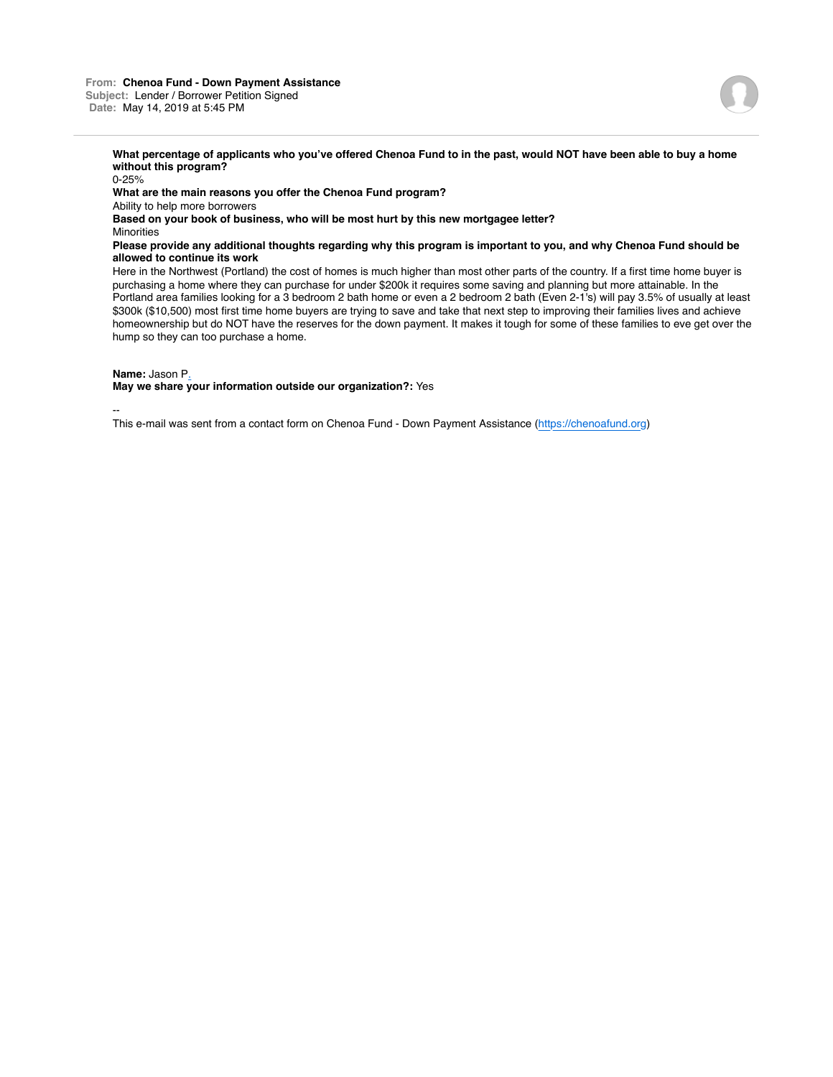# **What percentage of applicants who you've offered Chenoa Fund to in the past, would NOT have been able to buy a home without this program?**

0-25% **What are the main reasons you offer the Chenoa Fund program?** Ability to help more borrowers **Based on your book of business, who will be most hurt by this new mortgagee letter? Minorities Please provide any additional thoughts regarding why this program is important to you, and why Chenoa Fund should be allowed to continue its work** Here in the Northwest (Portland) the cost of homes is much higher than most other parts of the country. If a first time home buyer is

purchasing a home where they can purchase for under \$200k it requires some saving and planning but more attainable. In the Portland area families looking for a 3 bedroom 2 bath home or even a 2 bedroom 2 bath (Even 2-1's) will pay 3.5% of usually at least \$300k (\$10,500) most first time home buyers are trying to save and take that next step to improving their families lives and achieve homeownership but do NOT have the reserves for the down payment. It makes it tough for some of these families to eve get over the hump so they can too purchase a home.

**Name:** Jason P.

**May we share your information outside our organization?:** Yes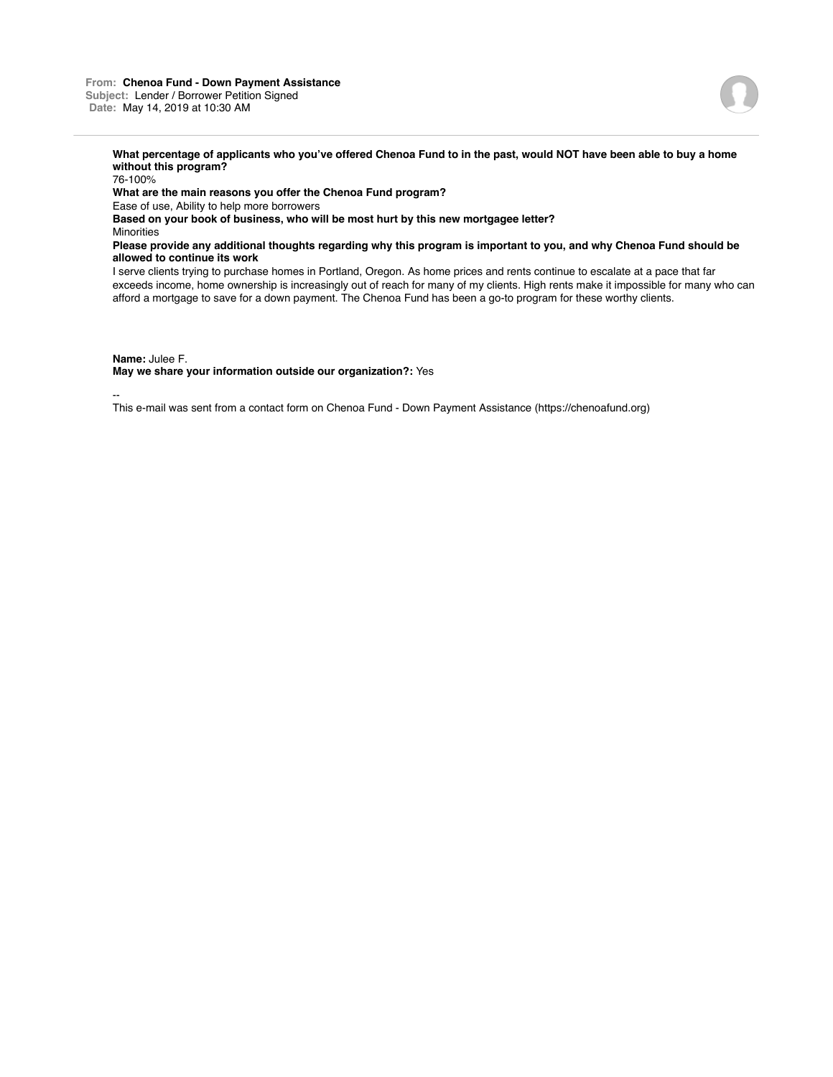## **From: Chenoa Fund - Down Payment Assistance Subject:** Lender / Borrower Petition Signed **Date:** May 14, 2019 at 10:30 AM



## **What percentage of applicants who you've offered Chenoa Fund to in the past, would NOT have been able to buy a home without this program?**

76-100% **What are the main reasons you offer the Chenoa Fund program?** Ease of use, Ability to help more borrowers **Based on your book of business, who will be most hurt by this new mortgagee letter? Minorities Please provide any additional thoughts regarding why this program is important to you, and why Chenoa Fund should be allowed to continue its work**

I serve clients trying to purchase homes in Portland, Oregon. As home prices and rents continue to escalate at a pace that far exceeds income, home ownership is increasingly out of reach for many of my clients. High rents make it impossible for many who can afford a mortgage to save for a down payment. The Chenoa Fund has been a go-to program for these worthy clients.

**Name:** Julee F.

**May we share your information outside our organization?:** Yes

--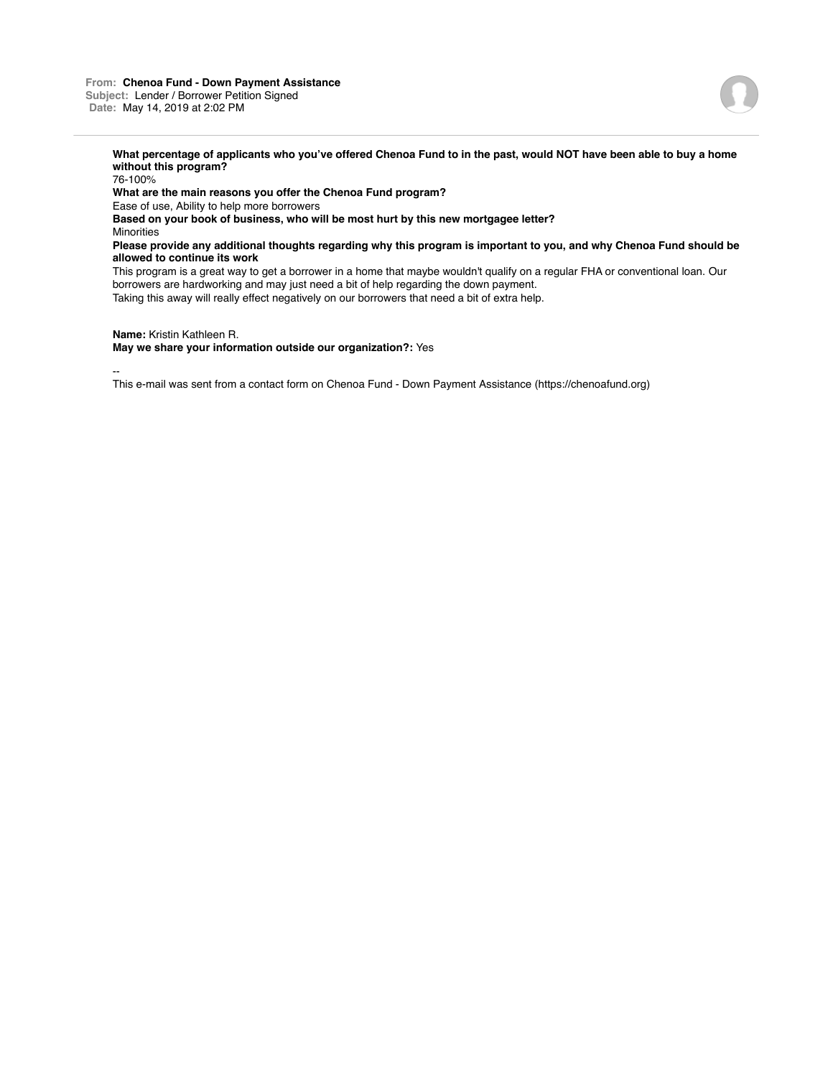## **From: Chenoa Fund - Down Payment Assistance Subject:** Lender / Borrower Petition Signed **Date:** May 14, 2019 at 2:02 PM



**What percentage of applicants who you've offered Chenoa Fund to in the past, would NOT have been able to buy a home without this program?**

76-100% **What are the main reasons you offer the Chenoa Fund program?** Ease of use, Ability to help more borrowers **Based on your book of business, who will be most hurt by this new mortgagee letter? Minorities Please provide any additional thoughts regarding why this program is important to you, and why Chenoa Fund should be allowed to continue its work**

This program is a great way to get a borrower in a home that maybe wouldn't qualify on a regular FHA or conventional loan. Our borrowers are hardworking and may just need a bit of help regarding the down payment.

Taking this away will really effect negatively on our borrowers that need a bit of extra help.

**Name:** Kristin Kathleen R.

**May we share your information outside our organization?:** Yes

--